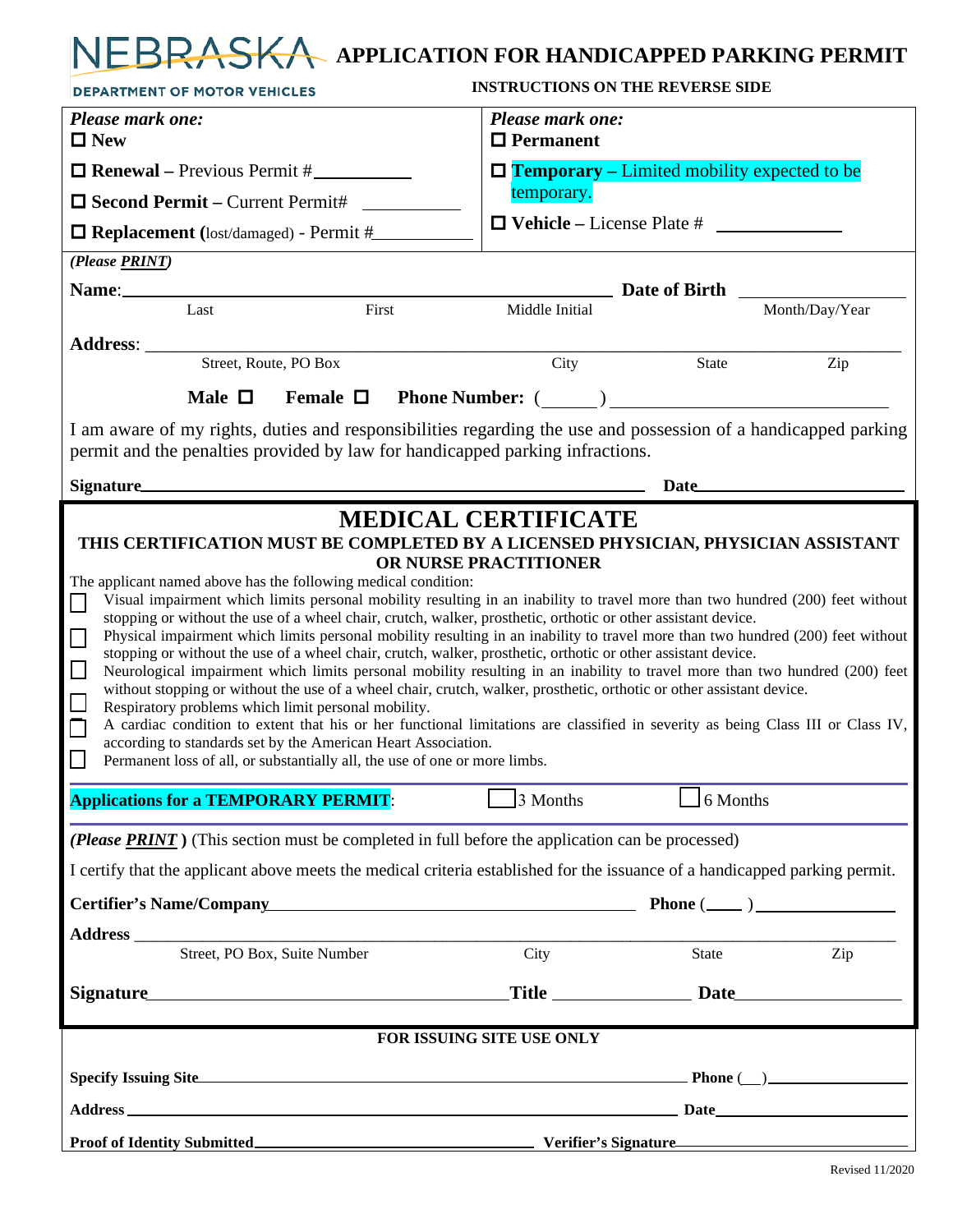# **APPLICATION FOR HANDICAPPED PARKING PERMIT**

| <b>DEPARTMENT OF MOTOR VEHICLES</b>                                                                                                                                                                                                                                                                                                                                                                                                                                                                                                                                                                                                                                                                                                                                                                                                                                                                                                                                                                                                                                                                                                                                                                                                                                                                               | <b>INSTRUCTIONS ON THE REVERSE SIDE</b>                                                                                                                                                                                             |                  |                |
|-------------------------------------------------------------------------------------------------------------------------------------------------------------------------------------------------------------------------------------------------------------------------------------------------------------------------------------------------------------------------------------------------------------------------------------------------------------------------------------------------------------------------------------------------------------------------------------------------------------------------------------------------------------------------------------------------------------------------------------------------------------------------------------------------------------------------------------------------------------------------------------------------------------------------------------------------------------------------------------------------------------------------------------------------------------------------------------------------------------------------------------------------------------------------------------------------------------------------------------------------------------------------------------------------------------------|-------------------------------------------------------------------------------------------------------------------------------------------------------------------------------------------------------------------------------------|------------------|----------------|
| Please mark one:<br>$\Box$ New                                                                                                                                                                                                                                                                                                                                                                                                                                                                                                                                                                                                                                                                                                                                                                                                                                                                                                                                                                                                                                                                                                                                                                                                                                                                                    | Please mark one:<br>$\Box$ Permanent                                                                                                                                                                                                |                  |                |
| $\Box$ Renewal – Previous Permit #                                                                                                                                                                                                                                                                                                                                                                                                                                                                                                                                                                                                                                                                                                                                                                                                                                                                                                                                                                                                                                                                                                                                                                                                                                                                                | $\Box$ Temporary – Limited mobility expected to be                                                                                                                                                                                  |                  |                |
| $\Box$ Second Permit – Current Permit#                                                                                                                                                                                                                                                                                                                                                                                                                                                                                                                                                                                                                                                                                                                                                                                                                                                                                                                                                                                                                                                                                                                                                                                                                                                                            | temporary.                                                                                                                                                                                                                          |                  |                |
| $\Box$ Replacement (lost/damaged) - Permit #                                                                                                                                                                                                                                                                                                                                                                                                                                                                                                                                                                                                                                                                                                                                                                                                                                                                                                                                                                                                                                                                                                                                                                                                                                                                      | $\Box$ Vehicle – License Plate #                                                                                                                                                                                                    |                  |                |
| (Please PRINT)                                                                                                                                                                                                                                                                                                                                                                                                                                                                                                                                                                                                                                                                                                                                                                                                                                                                                                                                                                                                                                                                                                                                                                                                                                                                                                    |                                                                                                                                                                                                                                     |                  |                |
|                                                                                                                                                                                                                                                                                                                                                                                                                                                                                                                                                                                                                                                                                                                                                                                                                                                                                                                                                                                                                                                                                                                                                                                                                                                                                                                   | $\_$ Date of Birth $\_\_$                                                                                                                                                                                                           |                  |                |
| First<br>Last                                                                                                                                                                                                                                                                                                                                                                                                                                                                                                                                                                                                                                                                                                                                                                                                                                                                                                                                                                                                                                                                                                                                                                                                                                                                                                     | Middle Initial                                                                                                                                                                                                                      |                  | Month/Day/Year |
| Address: ________                                                                                                                                                                                                                                                                                                                                                                                                                                                                                                                                                                                                                                                                                                                                                                                                                                                                                                                                                                                                                                                                                                                                                                                                                                                                                                 |                                                                                                                                                                                                                                     |                  |                |
| Street, Route, PO Box                                                                                                                                                                                                                                                                                                                                                                                                                                                                                                                                                                                                                                                                                                                                                                                                                                                                                                                                                                                                                                                                                                                                                                                                                                                                                             | City                                                                                                                                                                                                                                | State            | Zip            |
| Male $\Box$<br>Female $\Box$                                                                                                                                                                                                                                                                                                                                                                                                                                                                                                                                                                                                                                                                                                                                                                                                                                                                                                                                                                                                                                                                                                                                                                                                                                                                                      | <b>Phone Number:</b> ( )                                                                                                                                                                                                            |                  |                |
| I am aware of my rights, duties and responsibilities regarding the use and possession of a handicapped parking<br>permit and the penalties provided by law for handicapped parking infractions.                                                                                                                                                                                                                                                                                                                                                                                                                                                                                                                                                                                                                                                                                                                                                                                                                                                                                                                                                                                                                                                                                                                   |                                                                                                                                                                                                                                     |                  |                |
|                                                                                                                                                                                                                                                                                                                                                                                                                                                                                                                                                                                                                                                                                                                                                                                                                                                                                                                                                                                                                                                                                                                                                                                                                                                                                                                   |                                                                                                                                                                                                                                     | Date <u>Date</u> |                |
| THIS CERTIFICATION MUST BE COMPLETED BY A LICENSED PHYSICIAN, PHYSICIAN ASSISTANT<br>The applicant named above has the following medical condition:<br>Visual impairment which limits personal mobility resulting in an inability to travel more than two hundred (200) feet without<br>П<br>stopping or without the use of a wheel chair, crutch, walker, prosthetic, orthotic or other assistant device.<br>Physical impairment which limits personal mobility resulting in an inability to travel more than two hundred (200) feet without<br>$\Box$<br>stopping or without the use of a wheel chair, crutch, walker, prosthetic, orthotic or other assistant device.<br>$\Box$<br>Neurological impairment which limits personal mobility resulting in an inability to travel more than two hundred (200) feet<br>without stopping or without the use of a wheel chair, crutch, walker, prosthetic, orthotic or other assistant device.<br>$\Box$<br>Respiratory problems which limit personal mobility.<br>A cardiac condition to extent that his or her functional limitations are classified in severity as being Class III or Class IV,<br>$\Box$<br>according to standards set by the American Heart Association.<br>$\Box$<br>Permanent loss of all, or substantially all, the use of one or more limbs. | OR NURSE PRACTITIONER                                                                                                                                                                                                               |                  |                |
| <b>Applications for a TEMPORARY PERMIT:</b>                                                                                                                                                                                                                                                                                                                                                                                                                                                                                                                                                                                                                                                                                                                                                                                                                                                                                                                                                                                                                                                                                                                                                                                                                                                                       | 3 Months                                                                                                                                                                                                                            | 6 Months         |                |
| (Please PRINT) (This section must be completed in full before the application can be processed)                                                                                                                                                                                                                                                                                                                                                                                                                                                                                                                                                                                                                                                                                                                                                                                                                                                                                                                                                                                                                                                                                                                                                                                                                   |                                                                                                                                                                                                                                     |                  |                |
| I certify that the applicant above meets the medical criteria established for the issuance of a handicapped parking permit.                                                                                                                                                                                                                                                                                                                                                                                                                                                                                                                                                                                                                                                                                                                                                                                                                                                                                                                                                                                                                                                                                                                                                                                       |                                                                                                                                                                                                                                     |                  |                |
| Certifier's Name/Company example and the Phone (example and Phone (example and Phone (example and Phone (example and Phone (example and Phone (example and Phone and Phone and Phone and Phone and Phone and Phone and Phone a                                                                                                                                                                                                                                                                                                                                                                                                                                                                                                                                                                                                                                                                                                                                                                                                                                                                                                                                                                                                                                                                                    |                                                                                                                                                                                                                                     |                  |                |
|                                                                                                                                                                                                                                                                                                                                                                                                                                                                                                                                                                                                                                                                                                                                                                                                                                                                                                                                                                                                                                                                                                                                                                                                                                                                                                                   |                                                                                                                                                                                                                                     |                  |                |
| Street, PO Box, Suite Number                                                                                                                                                                                                                                                                                                                                                                                                                                                                                                                                                                                                                                                                                                                                                                                                                                                                                                                                                                                                                                                                                                                                                                                                                                                                                      | City                                                                                                                                                                                                                                | State            | Zip            |
| Signature                                                                                                                                                                                                                                                                                                                                                                                                                                                                                                                                                                                                                                                                                                                                                                                                                                                                                                                                                                                                                                                                                                                                                                                                                                                                                                         |                                                                                                                                                                                                                                     |                  |                |
| FOR ISSUING SITE USE ONLY                                                                                                                                                                                                                                                                                                                                                                                                                                                                                                                                                                                                                                                                                                                                                                                                                                                                                                                                                                                                                                                                                                                                                                                                                                                                                         |                                                                                                                                                                                                                                     |                  |                |
|                                                                                                                                                                                                                                                                                                                                                                                                                                                                                                                                                                                                                                                                                                                                                                                                                                                                                                                                                                                                                                                                                                                                                                                                                                                                                                                   | Specify Issuing Site <b>Example 2</b> Phone (Departure 2 Phone 2 Phone 2 Phone 2 Phone 2 Phone 2 Phone 2 Phone 2 Phone 2 Phone 2 Phone 2 Phone 2 Phone 2 Phone 2 Phone 2 Phone 2 Phone 2 Phone 2 Phone 2 Phone 2 Phone 2 Phone 2 Ph |                  |                |
|                                                                                                                                                                                                                                                                                                                                                                                                                                                                                                                                                                                                                                                                                                                                                                                                                                                                                                                                                                                                                                                                                                                                                                                                                                                                                                                   |                                                                                                                                                                                                                                     |                  |                |
|                                                                                                                                                                                                                                                                                                                                                                                                                                                                                                                                                                                                                                                                                                                                                                                                                                                                                                                                                                                                                                                                                                                                                                                                                                                                                                                   |                                                                                                                                                                                                                                     |                  |                |